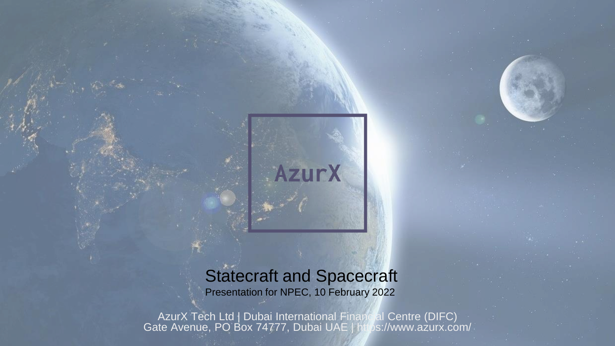#### Statecraft and Spacecraft Presentation for NPEC, 10 February 2022

**AzurX** 

AzurX Tech Ltd | Dubai International Financial Centre (DIFC) Gate Avenue, PO Box 74777, Dubai UAE | https://www.azurx.com/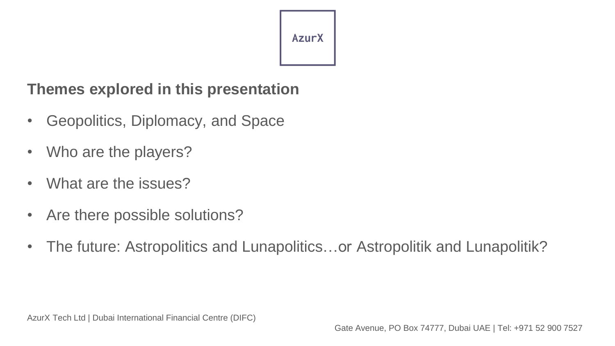## **Themes explored in this presentation**

- Geopolitics, Diplomacy, and Space
- Who are the players?
- What are the issues?
- Are there possible solutions?
- The future: Astropolitics and Lunapolitics...or Astropolitik and Lunapolitik?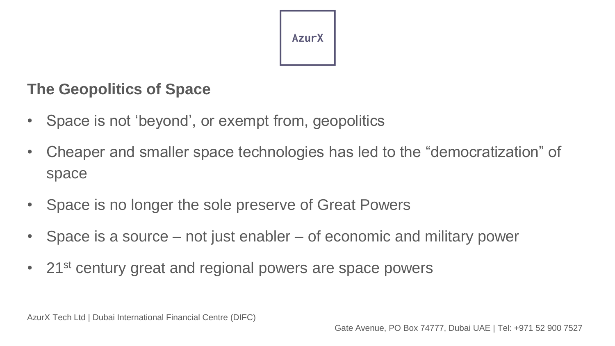

## **The Geopolitics of Space**

- Space is not 'beyond', or exempt from, geopolitics
- Cheaper and smaller space technologies has led to the "democratization" of space
- Space is no longer the sole preserve of Great Powers
- Space is a source not just enabler of economic and military power
- 21<sup>st</sup> century great and regional powers are space powers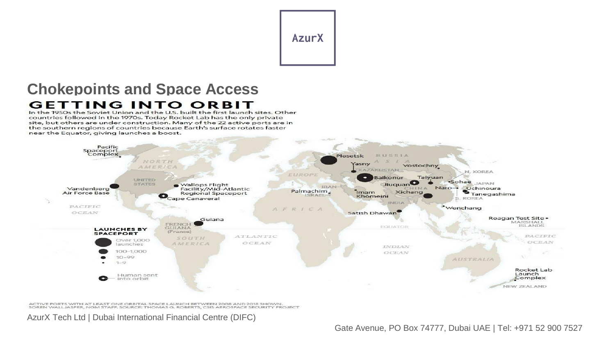#### **Chokepoints and Space Access GETTING INTO ORBIT**

In the 1950s the Soviet Union and the U.S. built the first launch sites. Other countries followed in the 1970s. Today Rocket Lab has the only private site, but others are under construction. Many of the 22 active ports are in the southern regions of countries because Earth's surface rotates faster near the Equator, giving launches a boost.



ACTIVE PORTS WITH AT LEAST ONE ORBITAL SPACE LAUNCH BETWEEN 2008 AND 2018 SHOWN. SOREN WALLJASPER, NGM STAFF. SOURCE: THOMAS G. ROBERTS, CSIS AEROSPACE SECURITY PROJECT

AzurX Tech Ltd | Dubai International Financial Centre (DIFC)

Gate Avenue, PO Box 74777, Dubai UAE | Tel: +971 52 900 7527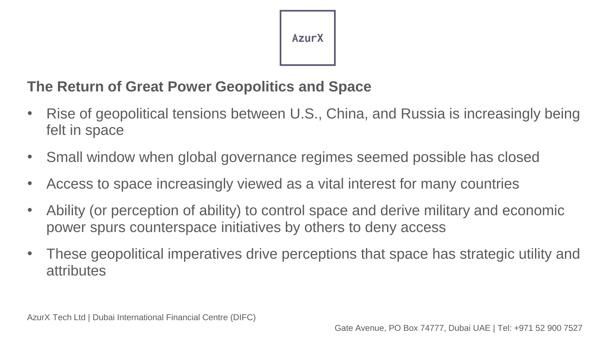## **The Return of Great Power Geopolitics and Space**

- Rise of geopolitical tensions between U.S., China, and Russia is increasingly being felt in space
- Small window when global governance regimes seemed possible has closed
- Access to space increasingly viewed as a vital interest for many countries
- Ability (or perception of ability) to control space and derive military and economic power spurs counterspace initiatives by others to deny access
- These geopolitical imperatives drive perceptions that space has strategic utility and attributes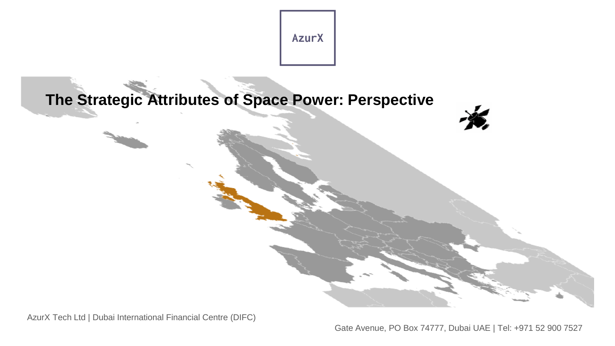

**The Strategic Attributes of Space Power: Perspective**

AzurX Tech Ltd | Dubai International Financial Centre (DIFC)

Gate Avenue, PO Box 74777, Dubai UAE | Tel: +971 52 900 7527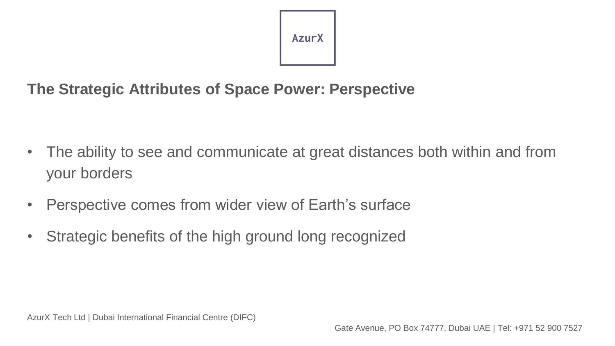## **The Strategic Attributes of Space Power: Perspective**

- The ability to see and communicate at great distances both within and from your borders
- Perspective comes from wider view of Earth's surface
- Strategic benefits of the high ground long recognized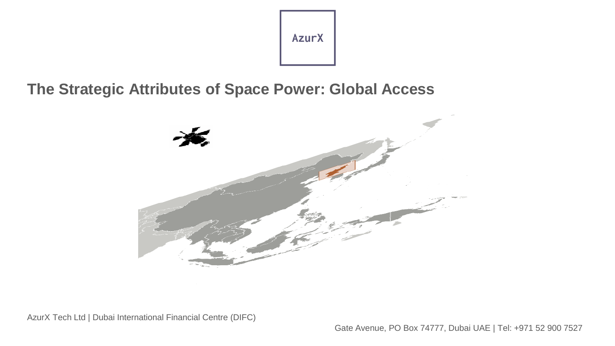**The Strategic Attributes of Space Power: Global Access**



AzurX Tech Ltd | Dubai International Financial Centre (DIFC)

Gate Avenue, PO Box 74777, Dubai UAE | Tel: +971 52 900 7527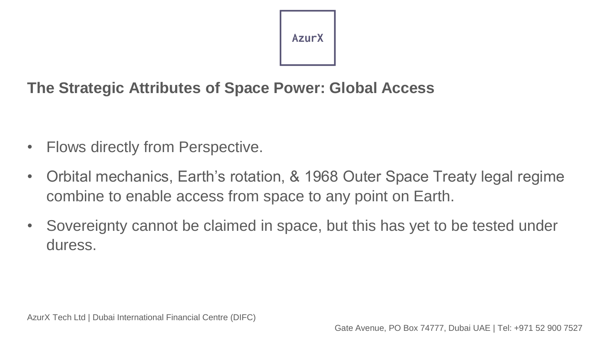## **The Strategic Attributes of Space Power: Global Access**

- Flows directly from Perspective.
- Orbital mechanics, Earth's rotation, & 1968 Outer Space Treaty legal regime combine to enable access from space to any point on Earth.
- Sovereignty cannot be claimed in space, but this has yet to be tested under duress.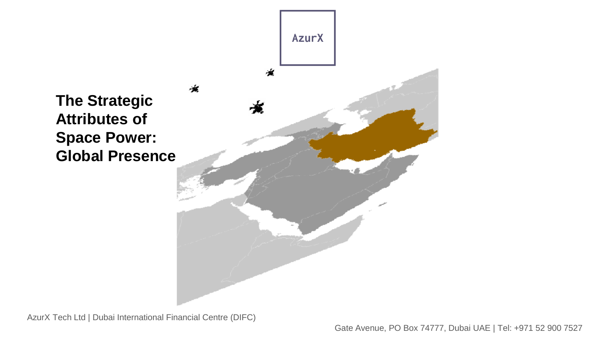

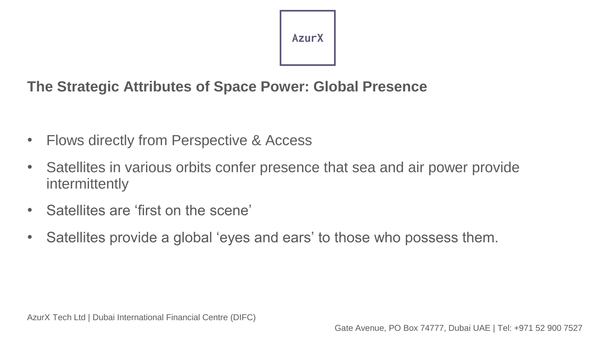#### **The Strategic Attributes of Space Power: Global Presence**

- Flows directly from Perspective & Access
- Satellites in various orbits confer presence that sea and air power provide intermittently
- Satellites are 'first on the scene'
- Satellites provide a global 'eyes and ears' to those who possess them.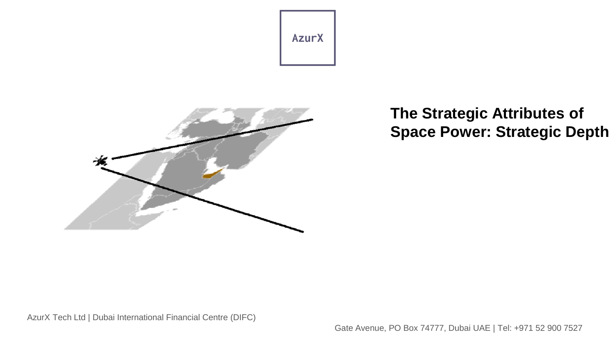

## **The Strategic Attributes of Space Power: Strategic Depth**

AzurX Tech Ltd | Dubai International Financial Centre (DIFC)

Gate Avenue, PO Box 74777, Dubai UAE | Tel: +971 52 900 7527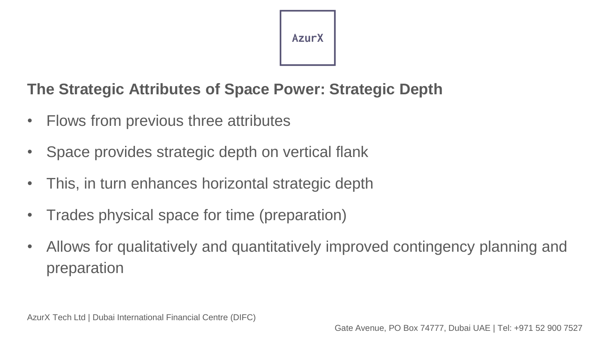## **The Strategic Attributes of Space Power: Strategic Depth**

- Flows from previous three attributes
- Space provides strategic depth on vertical flank
- This, in turn enhances horizontal strategic depth
- Trades physical space for time (preparation)
- Allows for qualitatively and quantitatively improved contingency planning and preparation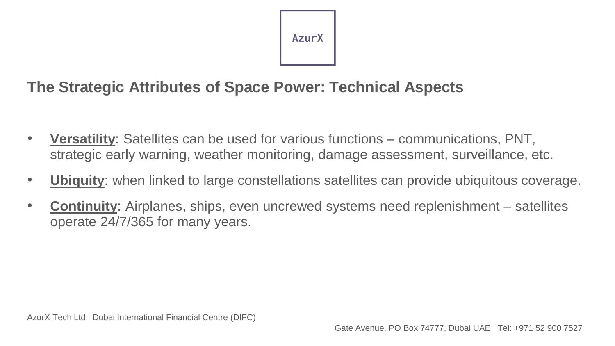## **The Strategic Attributes of Space Power: Technical Aspects**

- **Versatility**: Satellites can be used for various functions communications, PNT, strategic early warning, weather monitoring, damage assessment, surveillance, etc.
- **Ubiquity**: when linked to large constellations satellites can provide ubiquitous coverage.
- **Continuity**: Airplanes, ships, even uncrewed systems need replenishment satellites operate 24/7/365 for many years.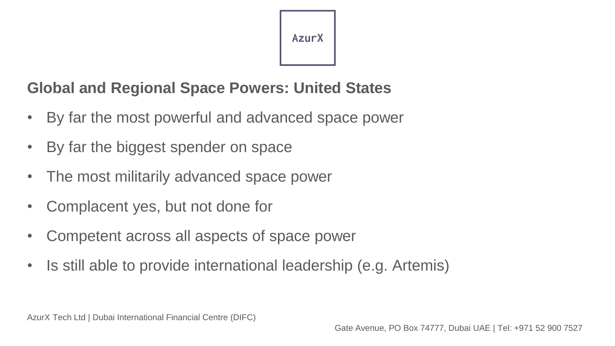## **Global and Regional Space Powers: United States**

- By far the most powerful and advanced space power
- By far the biggest spender on space
- The most militarily advanced space power
- Complacent yes, but not done for
- Competent across all aspects of space power
- Is still able to provide international leadership (e.g. Artemis)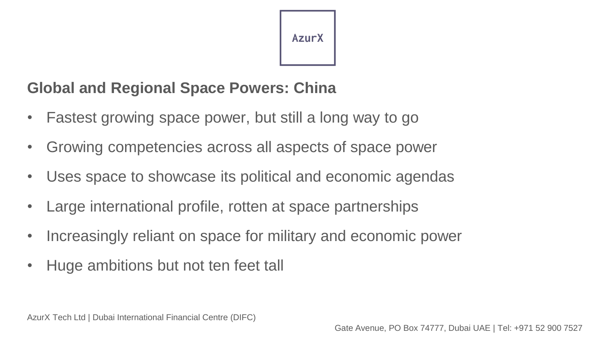## **Global and Regional Space Powers: China**

- Fastest growing space power, but still a long way to go
- Growing competencies across all aspects of space power
- Uses space to showcase its political and economic agendas
- Large international profile, rotten at space partnerships
- Increasingly reliant on space for military and economic power
- Huge ambitions but not ten feet tall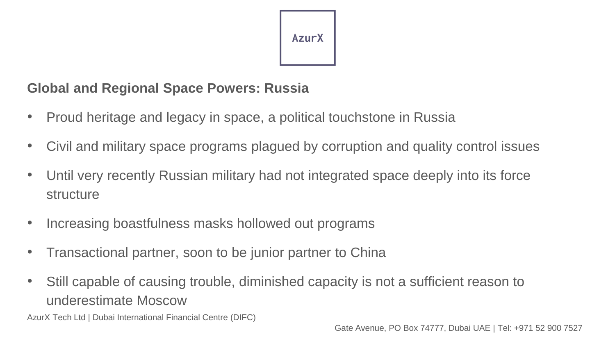#### **Global and Regional Space Powers: Russia**

- Proud heritage and legacy in space, a political touchstone in Russia
- Civil and military space programs plagued by corruption and quality control issues
- Until very recently Russian military had not integrated space deeply into its force structure
- Increasing boastfulness masks hollowed out programs
- Transactional partner, soon to be junior partner to China
- Still capable of causing trouble, diminished capacity is not a sufficient reason to underestimate Moscow

AzurX Tech Ltd | Dubai International Financial Centre (DIFC)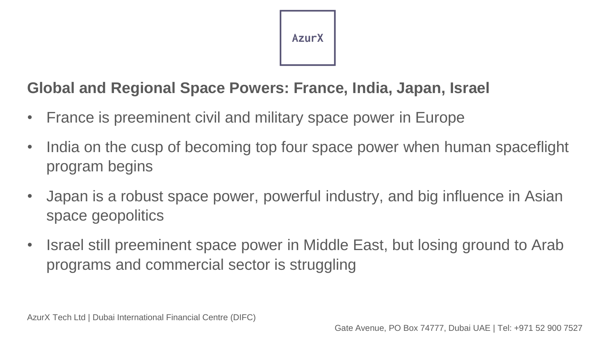

## **Global and Regional Space Powers: France, India, Japan, Israel**

- France is preeminent civil and military space power in Europe
- India on the cusp of becoming top four space power when human spaceflight program begins
- Japan is a robust space power, powerful industry, and big influence in Asian space geopolitics
- Israel still preeminent space power in Middle East, but losing ground to Arab programs and commercial sector is struggling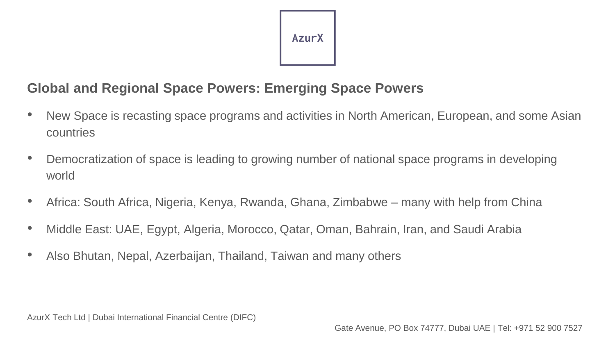#### **Global and Regional Space Powers: Emerging Space Powers**

- New Space is recasting space programs and activities in North American, European, and some Asian countries
- Democratization of space is leading to growing number of national space programs in developing world
- Africa: South Africa, Nigeria, Kenya, Rwanda, Ghana, Zimbabwe many with help from China
- Middle East: UAE, Egypt, Algeria, Morocco, Qatar, Oman, Bahrain, Iran, and Saudi Arabia
- Also Bhutan, Nepal, Azerbaijan, Thailand, Taiwan and many others

AzurX Tech Ltd | Dubai International Financial Centre (DIFC)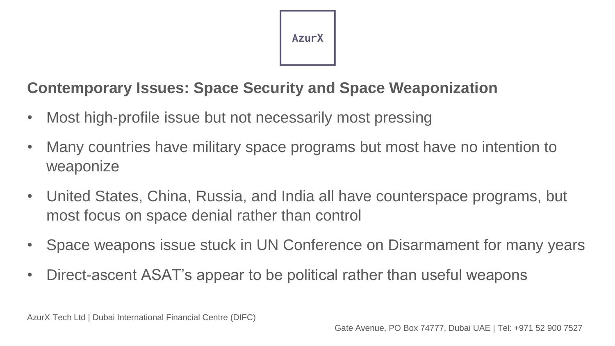

## **Contemporary Issues: Space Security and Space Weaponization**

- Most high-profile issue but not necessarily most pressing
- Many countries have military space programs but most have no intention to weaponize
- United States, China, Russia, and India all have counterspace programs, but most focus on space denial rather than control
- Space weapons issue stuck in UN Conference on Disarmament for many years
- Direct-ascent ASAT's appear to be political rather than useful weapons

AzurX Tech Ltd | Dubai International Financial Centre (DIFC)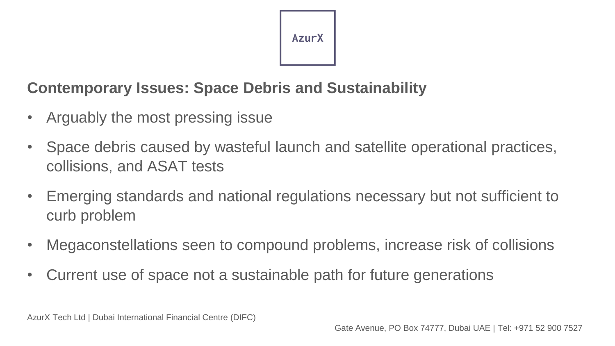## **Contemporary Issues: Space Debris and Sustainability**

- Arguably the most pressing issue
- Space debris caused by wasteful launch and satellite operational practices, collisions, and ASAT tests
- Emerging standards and national regulations necessary but not sufficient to curb problem
- Megaconstellations seen to compound problems, increase risk of collisions
- Current use of space not a sustainable path for future generations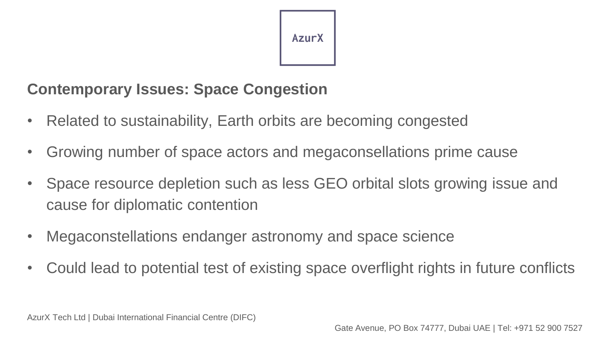## **Contemporary Issues: Space Congestion**

- Related to sustainability, Earth orbits are becoming congested
- Growing number of space actors and megaconsellations prime cause
- Space resource depletion such as less GEO orbital slots growing issue and cause for diplomatic contention
- Megaconstellations endanger astronomy and space science
- Could lead to potential test of existing space overflight rights in future conflicts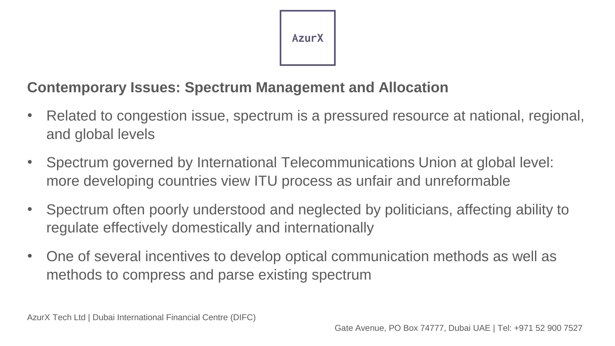### **Contemporary Issues: Spectrum Management and Allocation**

- Related to congestion issue, spectrum is a pressured resource at national, regional, and global levels
- Spectrum governed by International Telecommunications Union at global level: more developing countries view ITU process as unfair and unreformable
- Spectrum often poorly understood and neglected by politicians, affecting ability to regulate effectively domestically and internationally
- One of several incentives to develop optical communication methods as well as methods to compress and parse existing spectrum

AzurX Tech Ltd | Dubai International Financial Centre (DIFC)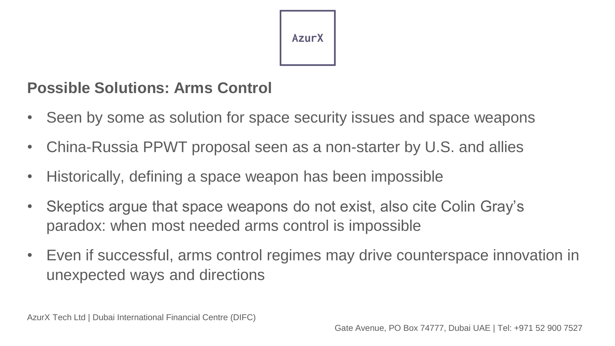

## **Possible Solutions: Arms Control**

- Seen by some as solution for space security issues and space weapons
- China-Russia PPWT proposal seen as a non-starter by U.S. and allies
- Historically, defining a space weapon has been impossible
- Skeptics argue that space weapons do not exist, also cite Colin Gray's paradox: when most needed arms control is impossible
- Even if successful, arms control regimes may drive counterspace innovation in unexpected ways and directions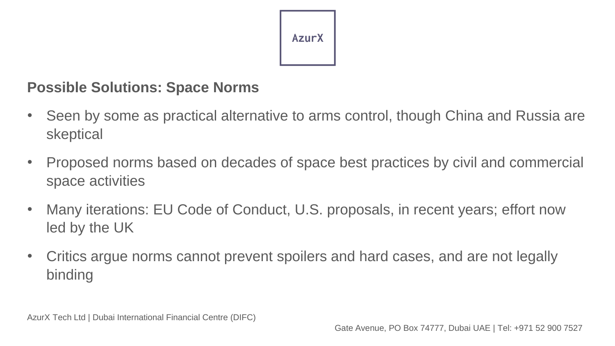

#### **Possible Solutions: Space Norms**

- Seen by some as practical alternative to arms control, though China and Russia are skeptical
- Proposed norms based on decades of space best practices by civil and commercial space activities
- Many iterations: EU Code of Conduct, U.S. proposals, in recent years; effort now led by the UK
- Critics argue norms cannot prevent spoilers and hard cases, and are not legally binding

AzurX Tech Ltd | Dubai International Financial Centre (DIFC)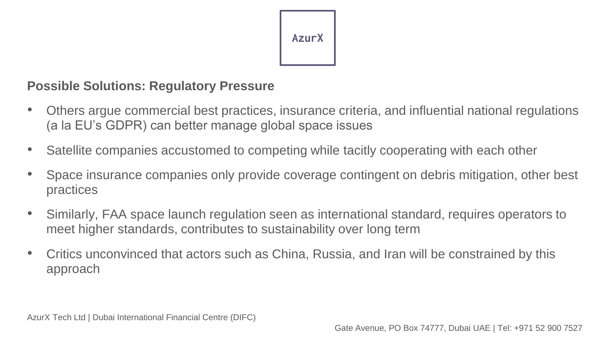

#### **Possible Solutions: Regulatory Pressure**

- Others argue commercial best practices, insurance criteria, and influential national regulations (a la EU's GDPR) can better manage global space issues
- Satellite companies accustomed to competing while tacitly cooperating with each other
- Space insurance companies only provide coverage contingent on debris mitigation, other best practices
- Similarly, FAA space launch regulation seen as international standard, requires operators to meet higher standards, contributes to sustainability over long term
- Critics unconvinced that actors such as China, Russia, and Iran will be constrained by this approach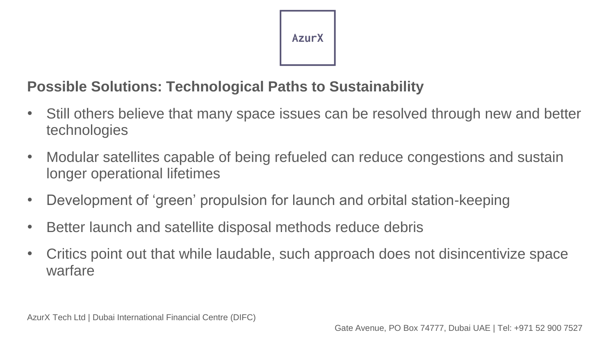## **Possible Solutions: Technological Paths to Sustainability**

- Still others believe that many space issues can be resolved through new and better technologies
- Modular satellites capable of being refueled can reduce congestions and sustain longer operational lifetimes
- Development of 'green' propulsion for launch and orbital station-keeping
- Better launch and satellite disposal methods reduce debris
- Critics point out that while laudable, such approach does not disincentivize space warfare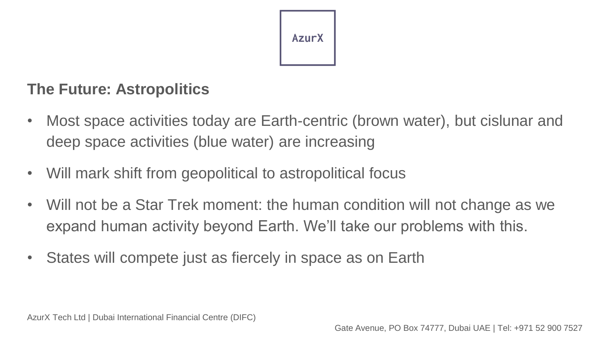

## **The Future: Astropolitics**

- Most space activities today are Earth-centric (brown water), but cislunar and deep space activities (blue water) are increasing
- Will mark shift from geopolitical to astropolitical focus
- Will not be a Star Trek moment: the human condition will not change as we expand human activity beyond Earth. We'll take our problems with this.
- States will compete just as fiercely in space as on Earth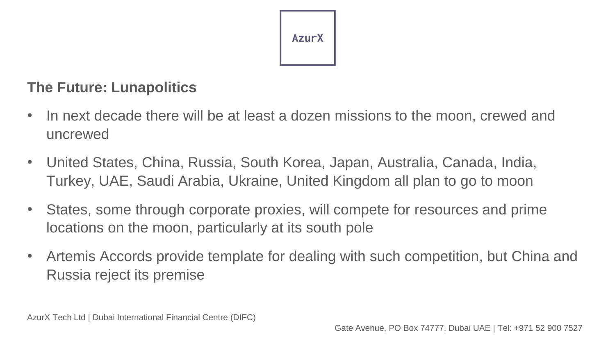

#### **The Future: Lunapolitics**

- In next decade there will be at least a dozen missions to the moon, crewed and uncrewed
- United States, China, Russia, South Korea, Japan, Australia, Canada, India, Turkey, UAE, Saudi Arabia, Ukraine, United Kingdom all plan to go to moon
- States, some through corporate proxies, will compete for resources and prime locations on the moon, particularly at its south pole
- Artemis Accords provide template for dealing with such competition, but China and Russia reject its premise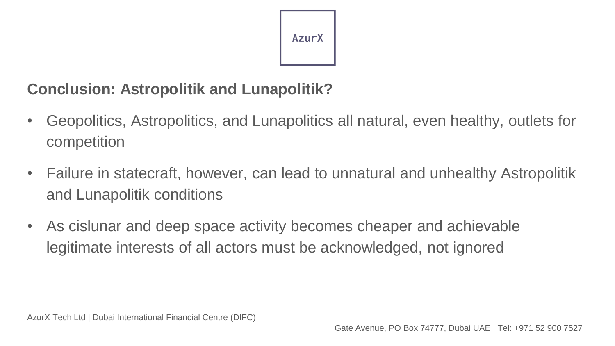## **Conclusion: Astropolitik and Lunapolitik?**

- Geopolitics, Astropolitics, and Lunapolitics all natural, even healthy, outlets for competition
- Failure in statecraft, however, can lead to unnatural and unhealthy Astropolitik and Lunapolitik conditions
- As cislunar and deep space activity becomes cheaper and achievable legitimate interests of all actors must be acknowledged, not ignored